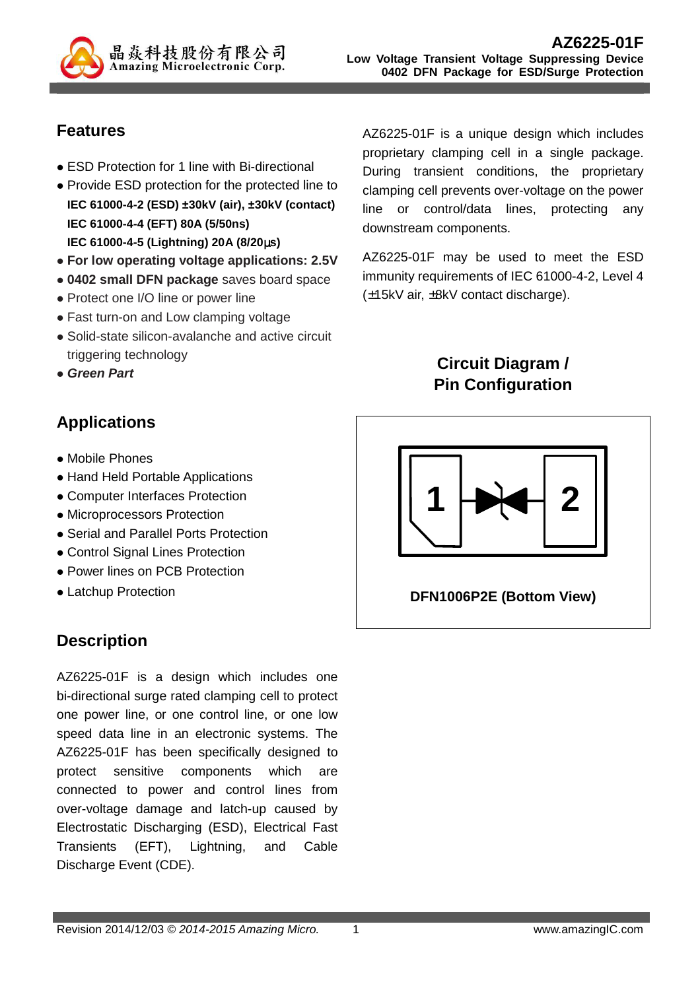

### **Features**

- ESD Protection for 1 line with Bi-directional
- Provide ESD protection for the protected line to **IEC 61000-4-2 (ESD) ±30kV (air), ±30kV (contact) IEC 61000-4-4 (EFT) 80A (5/50ns) IEC 61000-4-5 (Lightning) 20A (8/20**µ**s)**
- **For low operating voltage applications: 2.5V**
- **0402 small DFN package** saves board space
- Protect one I/O line or power line
- Fast turn-on and Low clamping voltage
- Solid-state silicon-avalanche and active circuit triggering technology
- **Green Part**

# **Applications**

- Mobile Phones
- Hand Held Portable Applications
- Computer Interfaces Protection
- Microprocessors Protection
- Serial and Parallel Ports Protection
- Control Signal Lines Protection
- Power lines on PCB Protection
- Latchup Protection

# **Description**

AZ6225-01F is a design which includes one bi-directional surge rated clamping cell to protect one power line, or one control line, or one low speed data line in an electronic systems. The AZ6225-01F has been specifically designed to protect sensitive components which are connected to power and control lines from over-voltage damage and latch-up caused by Electrostatic Discharging (ESD), Electrical Fast Transients (EFT), Lightning, and Cable Discharge Event (CDE).

AZ6225-01F is a unique design which includes proprietary clamping cell in a single package. During transient conditions, the proprietary clamping cell prevents over-voltage on the power line or control/data lines, protecting any downstream components.

AZ6225-01F may be used to meet the ESD immunity requirements of IEC 61000-4-2, Level 4 (±15kV air, ±8kV contact discharge).

# **Circuit Diagram / Pin Configuration**



**DFN1006P2E (Bottom View)**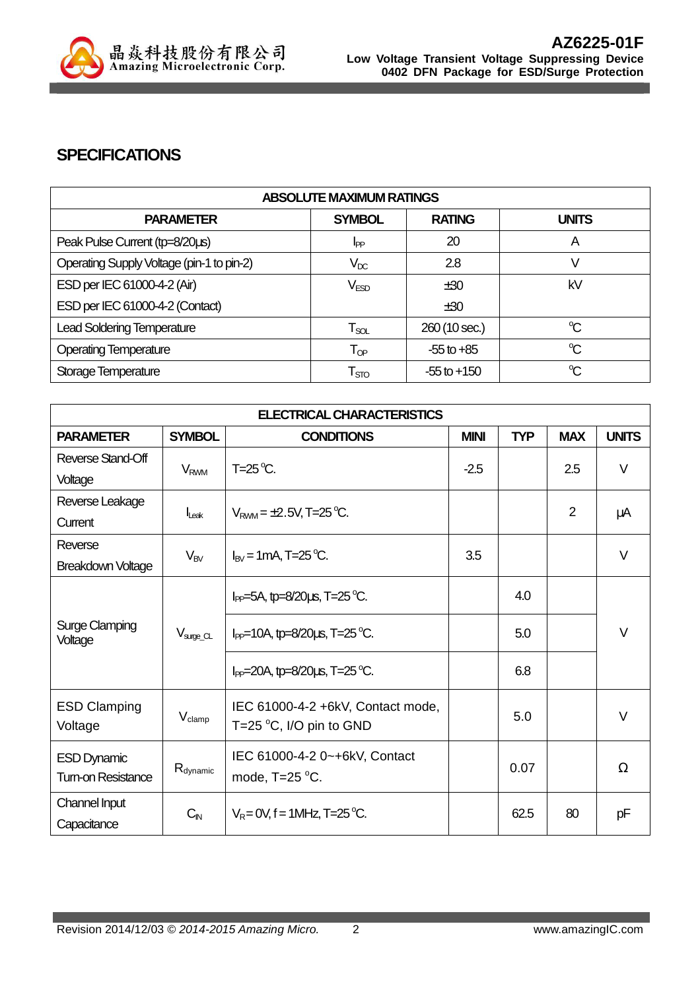

### **SPECIFICATIONS**

| <b>ABSOLUTE MAXIMUM RATINGS</b>           |                             |                 |              |
|-------------------------------------------|-----------------------------|-----------------|--------------|
| <b>PARAMETER</b>                          | <b>SYMBOL</b>               | <b>RATING</b>   | <b>UNITS</b> |
| Peak Pulse Current (tp=8/20us)            | I <sub>PP</sub>             | 20              | A            |
| Operating Supply Voltage (pin-1 to pin-2) | $V_{DC}$                    | 2.8             |              |
| ESD per IEC 61000-4-2 (Air)               | V <sub>ESD</sub>            | ±30             | kV           |
| ESD per IEC 61000-4-2 (Contact)           |                             | ±30             |              |
| <b>Lead Soldering Temperature</b>         | $\mathsf{T}_{\mathsf{SOL}}$ | 260 (10 sec.)   | $\mathrm{C}$ |
| <b>Operating Temperature</b>              | $\mathsf{T}_{\textsf{OP}}$  | $-55$ to $+85$  | $\mathrm{C}$ |
| Storage Temperature                       | $\mathsf{T}_{\text{STO}}$   | $-55$ to $+150$ | $\mathrm{C}$ |

| <b>ELECTRICAL CHARACTERISTICS</b>              |                        |                                                                       |             |            |            |              |
|------------------------------------------------|------------------------|-----------------------------------------------------------------------|-------------|------------|------------|--------------|
| <b>PARAMETER</b>                               | <b>SYMBOL</b>          | <b>CONDITIONS</b>                                                     | <b>MINI</b> | <b>TYP</b> | <b>MAX</b> | <b>UNITS</b> |
| Reverse Stand-Off                              | <b>V<sub>RWM</sub></b> | $T=25^{\circ}C$ .                                                     | $-2.5$      |            | 2.5        | V            |
| Voltage                                        |                        |                                                                       |             |            |            |              |
| Reverse Leakage                                |                        | $V_{RWM} = \pm 2.5V$ , T=25 °C.                                       |             |            | 2          | μA           |
| Current                                        | $I_{\text{Leak}}$      |                                                                       |             |            |            |              |
| Reverse                                        |                        | $I_{\text{RV}}$ = 1 mA, T=25 °C.                                      | 3.5         |            |            | $\vee$       |
| <b>Breakdown Voltage</b>                       | $V_{BV}$               |                                                                       |             |            |            |              |
| <b>Surge Clamping</b><br>Voltage               |                        | $I_{PP}$ =5A, tp=8/20 $\mu$ s, T=25 °C.                               |             | 4.0        |            |              |
|                                                | $V_{\text{surge\_CL}}$ | $I_{PP}$ =10A, tp=8/20us, T=25 °C.                                    |             | 5.0        |            | $\vee$       |
|                                                |                        | $I_{PP}$ =20A, tp=8/20us, T=25 °C.                                    |             | 6.8        |            |              |
| <b>ESD Clamping</b><br>Voltage                 | $V_{\text{clamp}}$     | IEC 61000-4-2 +6kV, Contact mode,<br>T=25 $\degree$ C, I/O pin to GND |             | 5.0        |            | $\vee$       |
| <b>ESD Dynamic</b><br><b>Tum-on Resistance</b> | $R_{\text{dynamic}}$   | IEC 61000-4-2 0~+6kV, Contact<br>mode, $T=25$ °C.                     |             | 0.07       |            | Ω            |
| Channel Input<br>Capacitance                   | $C_{\text{IN}}$        | $V_R = 0V$ , f = 1MHz, T=25 °C.                                       |             | 62.5       | 80         | pF           |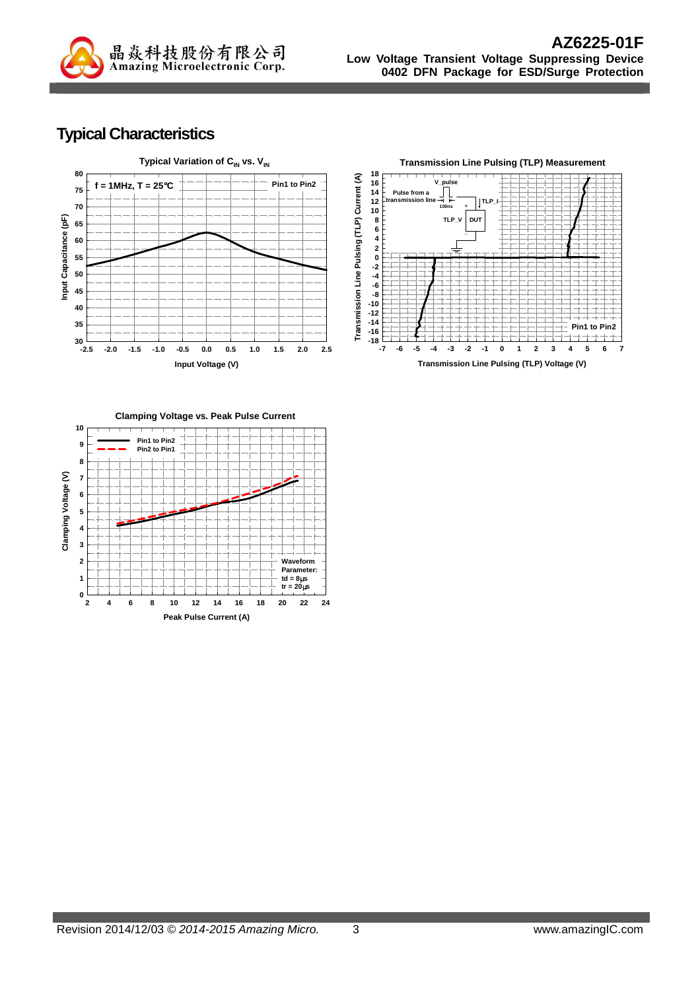

## **Typical Characteristics**



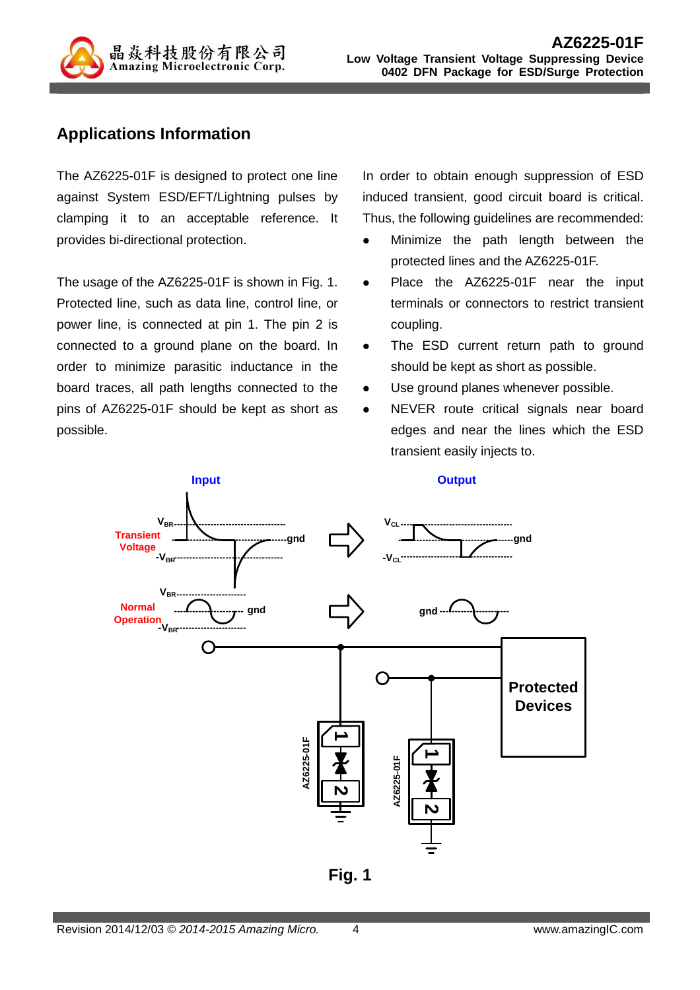

### **Applications Information**

The AZ6225-01F is designed to protect one line against System ESD/EFT/Lightning pulses by clamping it to an acceptable reference. It provides bi-directional protection.

The usage of the AZ6225-01F is shown in Fig. 1. Protected line, such as data line, control line, or power line, is connected at pin 1. The pin 2 is connected to a ground plane on the board. In order to minimize parasitic inductance in the board traces, all path lengths connected to the pins of AZ6225-01F should be kept as short as possible.

In order to obtain enough suppression of ESD induced transient, good circuit board is critical. Thus, the following guidelines are recommended:

- Minimize the path length between the protected lines and the AZ6225-01F.
- Place the AZ6225-01F near the input terminals or connectors to restrict transient coupling.
- The ESD current return path to ground should be kept as short as possible.
- Use ground planes whenever possible.
- NEVER route critical signals near board edges and near the lines which the ESD transient easily injects to.



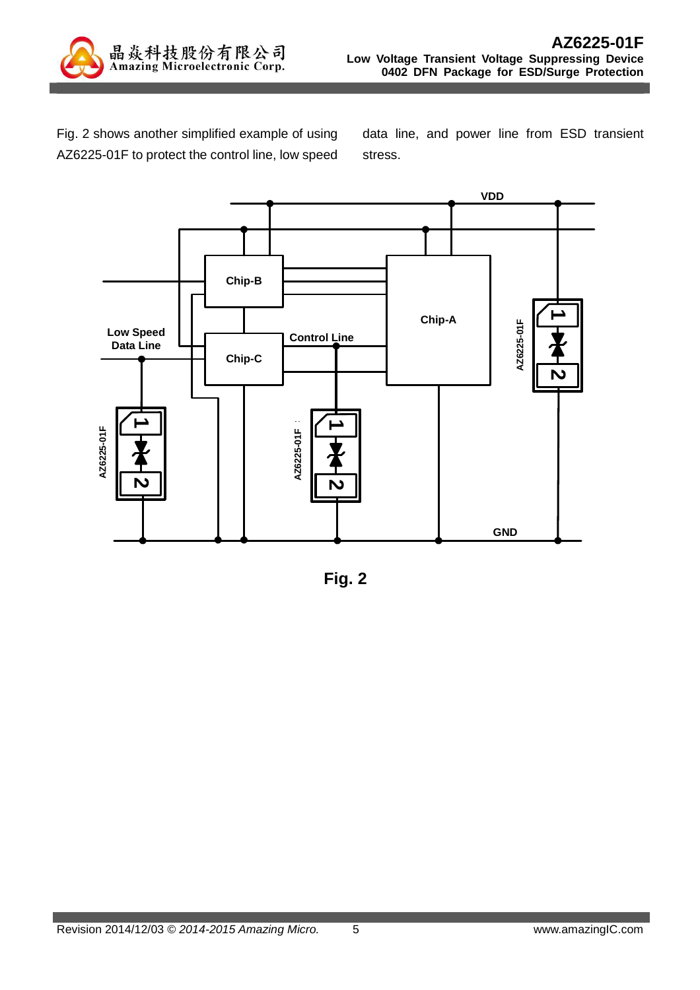

Fig. 2 shows another simplified example of using AZ6225-01F to protect the control line, low speed

data line, and power line from ESD transient stress.



**Fig. 2**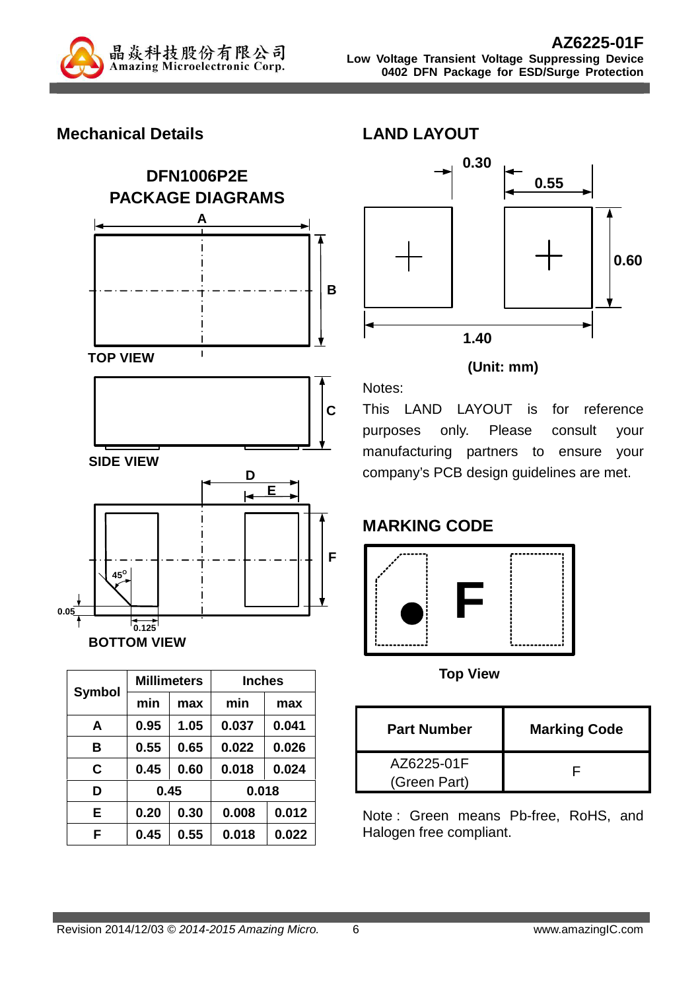

### **Mechanical Details**





#### **(Unit: mm)**

Notes: This LAND LAYOUT is for reference purposes only. Please consult your manufacturing partners to ensure your company's PCB design guidelines are met.

# **MARKING CODE**



**Top View** 

| <b>Part Number</b>         | <b>Marking Code</b> |
|----------------------------|---------------------|
| AZ6225-01F<br>(Green Part) |                     |

Note : Green means Pb-free, RoHS, and Halogen free compliant.

| <b>Symbol</b> | <b>Millimeters</b> |      | <b>Inches</b> |       |
|---------------|--------------------|------|---------------|-------|
|               | min                | max  | min           | max   |
| A             | 0.95               | 1.05 | 0.037         | 0.041 |
| в             | 0.55               | 0.65 | 0.022         | 0.026 |
| C.            | 0.45               | 0.60 | 0.018         | 0.024 |
| D             | 0.45               |      | 0.018         |       |
| Е             | 0.20               | 0.30 | 0.008         | 0.012 |
| F             | 0.45               | 0.55 | 0.018         | 0.022 |

**BOTTOM VIEW**

**0.125**

**0.05**